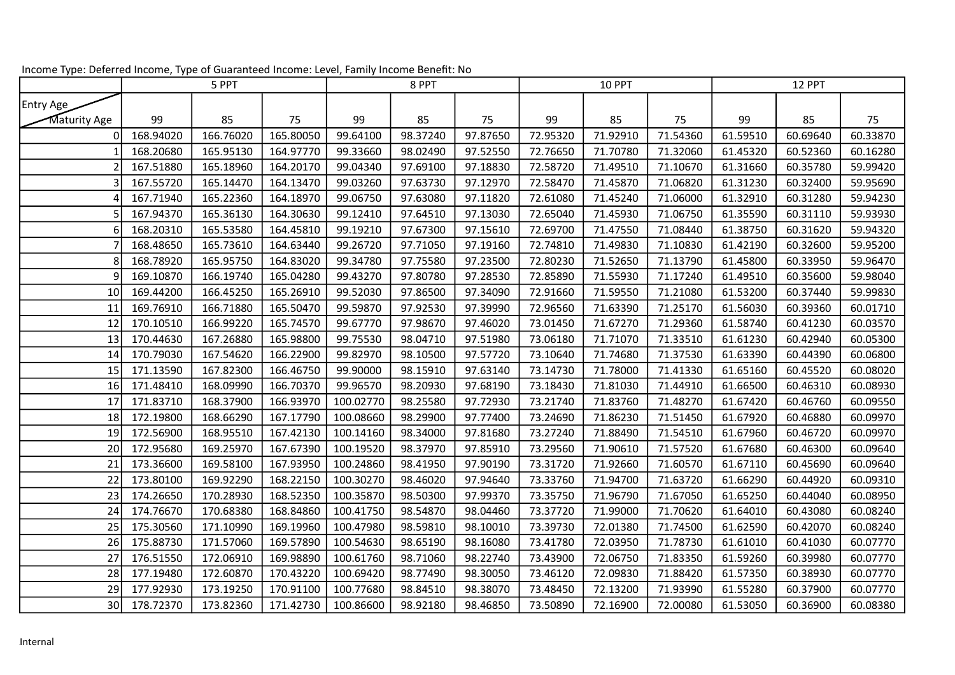|              | 5 PPT     |           |           | 8 PPT     |          |          | <b>10 PPT</b> |          |          | 12 PPT   |          |          |
|--------------|-----------|-----------|-----------|-----------|----------|----------|---------------|----------|----------|----------|----------|----------|
| Entry Age    |           |           |           |           |          |          |               |          |          |          |          |          |
| Maturity Age | 99        | 85        | 75        | 99        | 85       | 75       | 99            | 85       | 75       | 99       | 85       | 75       |
| ი            | 168.94020 | 166.76020 | 165.80050 | 99.64100  | 98.37240 | 97.87650 | 72.95320      | 71.92910 | 71.54360 | 61.59510 | 60.69640 | 60.33870 |
|              | 168.20680 | 165.95130 | 164.97770 | 99.33660  | 98.02490 | 97.52550 | 72.76650      | 71.70780 | 71.32060 | 61.45320 | 60.52360 | 60.16280 |
|              | 167.51880 | 165.18960 | 164.20170 | 99.04340  | 97.69100 | 97.18830 | 72.58720      | 71.49510 | 71.10670 | 61.31660 | 60.35780 | 59.99420 |
|              | 167.55720 | 165.14470 | 164.13470 | 99.03260  | 97.63730 | 97.12970 | 72.58470      | 71.45870 | 71.06820 | 61.31230 | 60.32400 | 59.95690 |
|              | 167.71940 | 165.22360 | 164.18970 | 99.06750  | 97.63080 | 97.11820 | 72.61080      | 71.45240 | 71.06000 | 61.32910 | 60.31280 | 59.94230 |
|              | 167.94370 | 165.36130 | 164.30630 | 99.12410  | 97.64510 | 97.13030 | 72.65040      | 71.45930 | 71.06750 | 61.35590 | 60.31110 | 59.93930 |
|              | 168.20310 | 165.53580 | 164.45810 | 99.19210  | 97.67300 | 97.15610 | 72.69700      | 71.47550 | 71.08440 | 61.38750 | 60.31620 | 59.94320 |
|              | 168.48650 | 165.73610 | 164.63440 | 99.26720  | 97.71050 | 97.19160 | 72.74810      | 71.49830 | 71.10830 | 61.42190 | 60.32600 | 59.95200 |
|              | 168.78920 | 165.95750 | 164.83020 | 99.34780  | 97.75580 | 97.23500 | 72.80230      | 71.52650 | 71.13790 | 61.45800 | 60.33950 | 59.96470 |
|              | 169.10870 | 166.19740 | 165.04280 | 99.43270  | 97.80780 | 97.28530 | 72.85890      | 71.55930 | 71.17240 | 61.49510 | 60.35600 | 59.98040 |
| 10           | 169.44200 | 166.45250 | 165.26910 | 99.52030  | 97.86500 | 97.34090 | 72.91660      | 71.59550 | 71.21080 | 61.53200 | 60.37440 | 59.99830 |
| 11           | 169.76910 | 166.71880 | 165.50470 | 99.59870  | 97.92530 | 97.39990 | 72.96560      | 71.63390 | 71.25170 | 61.56030 | 60.39360 | 60.01710 |
| 12           | 170.10510 | 166.99220 | 165.74570 | 99.67770  | 97.98670 | 97.46020 | 73.01450      | 71.67270 | 71.29360 | 61.58740 | 60.41230 | 60.03570 |
| 13           | 170.44630 | 167.26880 | 165.98800 | 99.75530  | 98.04710 | 97.51980 | 73.06180      | 71.71070 | 71.33510 | 61.61230 | 60.42940 | 60.05300 |
| 14           | 170.79030 | 167.54620 | 166.22900 | 99.82970  | 98.10500 | 97.57720 | 73.10640      | 71.74680 | 71.37530 | 61.63390 | 60.44390 | 60.06800 |
| 15           | 171.13590 | 167.82300 | 166.46750 | 99.90000  | 98.15910 | 97.63140 | 73.14730      | 71.78000 | 71.41330 | 61.65160 | 60.45520 | 60.08020 |
| 16           | 171.48410 | 168.09990 | 166.70370 | 99.96570  | 98.20930 | 97.68190 | 73.18430      | 71.81030 | 71.44910 | 61.66500 | 60.46310 | 60.08930 |
| 17           | 171.83710 | 168.37900 | 166.93970 | 100.02770 | 98.25580 | 97.72930 | 73.21740      | 71.83760 | 71.48270 | 61.67420 | 60.46760 | 60.09550 |
| 18           | 172.19800 | 168.66290 | 167.17790 | 100.08660 | 98.29900 | 97.77400 | 73.24690      | 71.86230 | 71.51450 | 61.67920 | 60.46880 | 60.09970 |
| 19           | 172.56900 | 168.95510 | 167.42130 | 100.14160 | 98.34000 | 97.81680 | 73.27240      | 71.88490 | 71.54510 | 61.67960 | 60.46720 | 60.09970 |
| 20           | 172.95680 | 169.25970 | 167.67390 | 100.19520 | 98.37970 | 97.85910 | 73.29560      | 71.90610 | 71.57520 | 61.67680 | 60.46300 | 60.09640 |
| 21           | 173.36600 | 169.58100 | 167.93950 | 100.24860 | 98.41950 | 97.90190 | 73.31720      | 71.92660 | 71.60570 | 61.67110 | 60.45690 | 60.09640 |
| 22           | 173.80100 | 169.92290 | 168.22150 | 100.30270 | 98.46020 | 97.94640 | 73.33760      | 71.94700 | 71.63720 | 61.66290 | 60.44920 | 60.09310 |
| 23           | 174.26650 | 170.28930 | 168.52350 | 100.35870 | 98.50300 | 97.99370 | 73.35750      | 71.96790 | 71.67050 | 61.65250 | 60.44040 | 60.08950 |
| 24           | 174.76670 | 170.68380 | 168.84860 | 100.41750 | 98.54870 | 98.04460 | 73.37720      | 71.99000 | 71.70620 | 61.64010 | 60.43080 | 60.08240 |
| 25           | 175.30560 | 171.10990 | 169.19960 | 100.47980 | 98.59810 | 98.10010 | 73.39730      | 72.01380 | 71.74500 | 61.62590 | 60.42070 | 60.08240 |
| 26           | 175.88730 | 171.57060 | 169.57890 | 100.54630 | 98.65190 | 98.16080 | 73.41780      | 72.03950 | 71.78730 | 61.61010 | 60.41030 | 60.07770 |
| 27           | 176.51550 | 172.06910 | 169.98890 | 100.61760 | 98.71060 | 98.22740 | 73.43900      | 72.06750 | 71.83350 | 61.59260 | 60.39980 | 60.07770 |
| 28           | 177.19480 | 172.60870 | 170.43220 | 100.69420 | 98.77490 | 98.30050 | 73.46120      | 72.09830 | 71.88420 | 61.57350 | 60.38930 | 60.07770 |
| 29           | 177.92930 | 173.19250 | 170.91100 | 100.77680 | 98.84510 | 98.38070 | 73.48450      | 72.13200 | 71.93990 | 61.55280 | 60.37900 | 60.07770 |
| 30           | 178.72370 | 173.82360 | 171.42730 | 100.86600 | 98.92180 | 98.46850 | 73.50890      | 72.16900 | 72.00080 | 61.53050 | 60.36900 | 60.08380 |

Income Type: Deferred Income, Type of Guaranteed Income: Level, Family Income Benefit: No